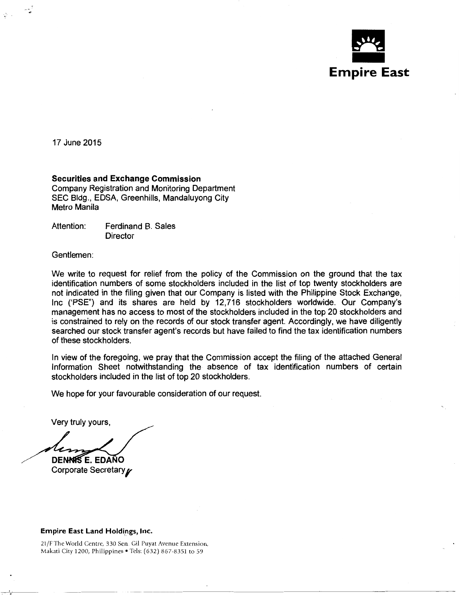

17 June 2015

#### **Securities and Exchange Commission**

Company Registration and Monitoring Department SEC Bldg., EDSA, Greenhills, Mandaluyong City Metro Manila

Attention: Ferdinand B. Sales **Director** 

Gentlemen:

We write to request for relief from the policy of the Commission on the ground that the tax identification numbers of some stockholders included in the list of top twenty stockholders are not indicated in the filing given that our Company is listed with the Philippine Stock Exchange, Inc ('PSE") and its shares are held by 12,716 stockholders worldwide. Our Company's management has no access to most of the stockholders included in the top 20 stockholders and is constrained to rely on the records of our stock transfer agent. Accordingly, we have diligently searched our stock transfer agent's records but have failed to find the tax identification numbers of these stockholders.

In view of the foregoing, we pray that the Commission accept the filing of the attached General Information Sheet notwithstanding the absence of tax identification numbers of certain stockholders included in the list of top 20 stockholders.

We hope for your favourable consideration of our request.

Very truly yours,

**DENNIS E. EDAÑO** 

Corporate Secretary

#### Empire East Land Holdings, Inc.

21/F The World Centre, 330 Sen. Gil Puyat Avenue Extension, Makati City 1200, Philippines • Tels: (632) 867-8351 to 59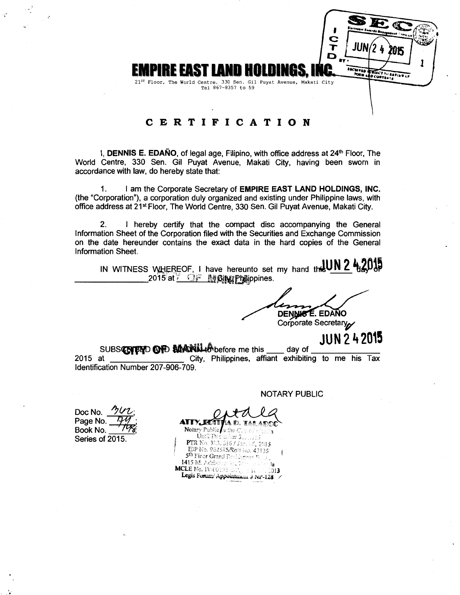

# CERTIFICATION

I, DENNIS E. EDAÑO, of legal age, Filipino, with office address at 24<sup>th</sup> Floor, The World Centre, 330 Sen. Gil Puyat Avenue, Makati City, having been sworn in accordance with law, do hereby state that:

I am the Corporate Secretary of EMPIRE EAST LAND HOLDINGS, INC.  $\mathbf{1}$ . (the "Corporation"), a corporation duly organized and existing under Philippine laws, with office address at 21<sup>st</sup> Floor, The World Centre, 330 Sen. Gil Puyat Avenue, Makati City.

I hereby certify that the compact disc accompanying the General  $2.$ Information Sheet of the Corporation filed with the Securities and Exchange Commission on the date hereunder contains the exact data in the hard copies of the General Information Sheet.

IN WITNESS WHEREOF, I have hereunto set my hand the UN 2 4203 2015 at SF M Sing Philippines.

DENNIS E. EDAÑO Corporate Secretary

**JUN 2 4 2015** 

SUBSCRIBIND OF DEVENIL 40 before me this dav of City, Philippines, affiant exhibiting to me his Tax 2015 at Identification Number 207-906-709.

Doc No. Page No. Book No. Series of 2015.

**NOTARY PUBLIC** 

Notary Public a the C 'n Until Dec anber 31. PTR No. 3030316 / Jac. 05. 2015 IBP No. 962585/Roll No. 43135 5th Floor Grand Residences 1415 M. Adrian MCLE No.  $We can be$  $013$ Legis Forum/Appointment # NP-128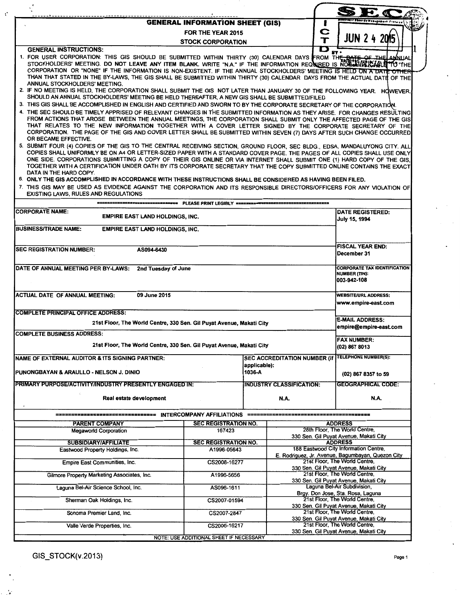|                                                                                                                                                                                                                                                                                                                                                                                                                                                                                                                                                                                                                                                                                                                                                                                                                                                                                                                                                                                                                                                                                                                                                                                                                                                                                                                                                                                                                                                                                                                                                                                                                                                                                                                                                                                                                                                                            | <b>GENERAL INFORMATION SHEET (GIS)</b>                                              |                               |                                     |  | artifagif Theorde Wasagebort Fiermar                                                       |  |  |  |  |  |
|----------------------------------------------------------------------------------------------------------------------------------------------------------------------------------------------------------------------------------------------------------------------------------------------------------------------------------------------------------------------------------------------------------------------------------------------------------------------------------------------------------------------------------------------------------------------------------------------------------------------------------------------------------------------------------------------------------------------------------------------------------------------------------------------------------------------------------------------------------------------------------------------------------------------------------------------------------------------------------------------------------------------------------------------------------------------------------------------------------------------------------------------------------------------------------------------------------------------------------------------------------------------------------------------------------------------------------------------------------------------------------------------------------------------------------------------------------------------------------------------------------------------------------------------------------------------------------------------------------------------------------------------------------------------------------------------------------------------------------------------------------------------------------------------------------------------------------------------------------------------------|-------------------------------------------------------------------------------------|-------------------------------|-------------------------------------|--|--------------------------------------------------------------------------------------------|--|--|--|--|--|
| FOR THE YEAR 2015                                                                                                                                                                                                                                                                                                                                                                                                                                                                                                                                                                                                                                                                                                                                                                                                                                                                                                                                                                                                                                                                                                                                                                                                                                                                                                                                                                                                                                                                                                                                                                                                                                                                                                                                                                                                                                                          |                                                                                     |                               |                                     |  |                                                                                            |  |  |  |  |  |
|                                                                                                                                                                                                                                                                                                                                                                                                                                                                                                                                                                                                                                                                                                                                                                                                                                                                                                                                                                                                                                                                                                                                                                                                                                                                                                                                                                                                                                                                                                                                                                                                                                                                                                                                                                                                                                                                            | <b>JUN 2 4 2015</b>                                                                 |                               |                                     |  |                                                                                            |  |  |  |  |  |
| <b>STOCK CORPORATION</b><br>D<br><b>GENERAL INSTRUCTIONS:</b><br>$\mathbf{r}$<br>1. FOR USER CORPORATION: THIS GIS SHOULD BE SUBMITTED WITHIN THIRTY (30) CALENDAR DAYS FROM THE PARTE.<br>STOCKHOLDERS' MEETING. DO NOT LEAVE ANY ITEM BLANK. WRITE "N.A." IF THE INFORMATION REQUIRED IS NOT HARDERS MEETING. THE<br>CORPORATION OR "NONE" IF THE INFORMATION IS NON-EXISTENT. IF THE ANNUAL STOCKHOLDERS' MEETING IS HELD ON A DATE OTHER<br>THAN THAT STATED IN THE BY-LAWS, THE GIS SHALL BE SUBMITTED WITHIN THIRTY (30) CALENDAR DAYS FROM THE ACTUAL DATE OF THE<br>ANNUAL STOCKHOLDERS' MEETING.<br>2. IF NO MEETING IS HELD, THE CORPORATION SHALL SUBMIT THE GIS NOT LATER THAN JANUARY 30 OF THE FOLLOWING YEAR. HOWEVER,<br>SHOULD AN ANNUAL STOCKHOLDERS' MEETING BE HELD THEREAFTER, A NEW GIS SHALL BE SUBMITTED/FILED.<br>3. THIS GIS SHALL BE ACCOMPLISHED IN ENGLISH AND CERTIFIED AND SWORN TO BY THE CORPORATE SECRETARY OF THE CORPORATION.<br>4. THE SEC SHOULD BE TIMELY APPRISED OF RELEVANT CHANGES IN THE SUBMITTED INFORMATION AS THEY ARISE. FOR CHANGES RESULTING<br>FROM ACTIONS THAT AROSE BETWEEN THE ANNUAL MEETINGS, THE CORPORATION SHALL SUBMIT ONLY THE AFFECTED PAGE OF THE GIS<br>THAT RELATES TO THE NEW INFORMATION TOGETHER WITH A COVER LETTER SIGNED BY THE CORPORATE SECRETARY OF THE<br>CORPORATION. THE PAGE OF THE GIS AND COVER LETTER SHALL BE SUBMITTED WITHIN SEVEN (7) DAYS AFTER SUCH CHANGE OCCURRED<br>OR BECAME EFFECTIVE.<br>5. SUBMIT FOUR (4) COPIES OF THE GIS TO THE CENTRAL RECEIVING SECTION, GROUND FLOOR, SEC BLDG., EDSA, MANDALUYONG CITY. ALL<br>COPIES SHALL UNIFORMLY BE ON A4 OR LETTER-SIZED PAPER WITH A STANDARD COVER PAGE. THE PAGES OF ALL COPIES SHALL USE ONLY<br>ONE SIDE. CORPORATIONS SUBMITTING A COPY OF THEIR GIS ONLINE OR VIA INTERNET SHALL SUBMIT ONE (1) HARD COPY OF THE GIS, |                                                                                     |                               |                                     |  |                                                                                            |  |  |  |  |  |
| TOGETHER WITH A CERTIFICATION UNDER OATH BY ITS CORPORATE SECRETARY THAT THE COPY SUBMITTED ONLINE CONTAINS THE EXACT<br>DATA IN THE HARD COPY.<br>6. ONLY THE GIS ACCOMPLISHED IN ACCORDANCE WITH THESE INSTRUCTIONS SHALL BE CONSIDERED AS HAVING BEEN FILED.<br>7. THIS GIS MAY BE USED AS EVIDENCE AGAINST THE CORPORATION AND ITS RESPONSIBLE DIRECTORS/OFFICERS FOR ANY VIOLATION OF<br><b>EXISTING LAWS, RULES AND REGULATIONS</b>                                                                                                                                                                                                                                                                                                                                                                                                                                                                                                                                                                                                                                                                                                                                                                                                                                                                                                                                                                                                                                                                                                                                                                                                                                                                                                                                                                                                                                  |                                                                                     |                               |                                     |  |                                                                                            |  |  |  |  |  |
|                                                                                                                                                                                                                                                                                                                                                                                                                                                                                                                                                                                                                                                                                                                                                                                                                                                                                                                                                                                                                                                                                                                                                                                                                                                                                                                                                                                                                                                                                                                                                                                                                                                                                                                                                                                                                                                                            | ====== PLEASE PRINT LEGIBLY ====                                                    |                               |                                     |  |                                                                                            |  |  |  |  |  |
| <b>CORPORATE NAME:</b><br><b>EMPIRE EAST LAND HOLDINGS, INC.</b>                                                                                                                                                                                                                                                                                                                                                                                                                                                                                                                                                                                                                                                                                                                                                                                                                                                                                                                                                                                                                                                                                                                                                                                                                                                                                                                                                                                                                                                                                                                                                                                                                                                                                                                                                                                                           |                                                                                     |                               |                                     |  | <b>DATE REGISTERED:</b>                                                                    |  |  |  |  |  |
|                                                                                                                                                                                                                                                                                                                                                                                                                                                                                                                                                                                                                                                                                                                                                                                                                                                                                                                                                                                                                                                                                                                                                                                                                                                                                                                                                                                                                                                                                                                                                                                                                                                                                                                                                                                                                                                                            |                                                                                     |                               |                                     |  | <b>July 15, 1994</b>                                                                       |  |  |  |  |  |
| <b>BUSINESS/TRADE NAME:</b><br><b>EMPIRE EAST LAND HOLDINGS, INC.</b>                                                                                                                                                                                                                                                                                                                                                                                                                                                                                                                                                                                                                                                                                                                                                                                                                                                                                                                                                                                                                                                                                                                                                                                                                                                                                                                                                                                                                                                                                                                                                                                                                                                                                                                                                                                                      |                                                                                     |                               |                                     |  |                                                                                            |  |  |  |  |  |
| AS094-6430                                                                                                                                                                                                                                                                                                                                                                                                                                                                                                                                                                                                                                                                                                                                                                                                                                                                                                                                                                                                                                                                                                                                                                                                                                                                                                                                                                                                                                                                                                                                                                                                                                                                                                                                                                                                                                                                 |                                                                                     |                               |                                     |  | <b>FISCAL YEAR END:</b>                                                                    |  |  |  |  |  |
| <b>ISEC REGISTRATION NUMBER:</b>                                                                                                                                                                                                                                                                                                                                                                                                                                                                                                                                                                                                                                                                                                                                                                                                                                                                                                                                                                                                                                                                                                                                                                                                                                                                                                                                                                                                                                                                                                                                                                                                                                                                                                                                                                                                                                           |                                                                                     |                               |                                     |  | December 31                                                                                |  |  |  |  |  |
| DATE OF ANNUAL MEETING PER BY-LAWS: 2nd Tuesday of June                                                                                                                                                                                                                                                                                                                                                                                                                                                                                                                                                                                                                                                                                                                                                                                                                                                                                                                                                                                                                                                                                                                                                                                                                                                                                                                                                                                                                                                                                                                                                                                                                                                                                                                                                                                                                    |                                                                                     |                               |                                     |  | <b>CORPORATE TAX IDENTIFICATION</b><br>NUMBER (TIN):<br>003-942-108                        |  |  |  |  |  |
| ACTUAL DATE OF ANNUAL MEETING:<br>09 June 2015                                                                                                                                                                                                                                                                                                                                                                                                                                                                                                                                                                                                                                                                                                                                                                                                                                                                                                                                                                                                                                                                                                                                                                                                                                                                                                                                                                                                                                                                                                                                                                                                                                                                                                                                                                                                                             |                                                                                     |                               |                                     |  | <b>WEBSITE/URL ADDRESS:</b><br>www.empire-east.com                                         |  |  |  |  |  |
| <b>COMPLETE PRINCIPAL OFFICE ADDRESS:</b>                                                                                                                                                                                                                                                                                                                                                                                                                                                                                                                                                                                                                                                                                                                                                                                                                                                                                                                                                                                                                                                                                                                                                                                                                                                                                                                                                                                                                                                                                                                                                                                                                                                                                                                                                                                                                                  |                                                                                     |                               |                                     |  |                                                                                            |  |  |  |  |  |
| 21st Floor, The World Centre, 330 Sen. Gil Puyat Avenue, Makati City                                                                                                                                                                                                                                                                                                                                                                                                                                                                                                                                                                                                                                                                                                                                                                                                                                                                                                                                                                                                                                                                                                                                                                                                                                                                                                                                                                                                                                                                                                                                                                                                                                                                                                                                                                                                       |                                                                                     |                               |                                     |  | <b>E-MAIL ADDRESS:</b><br>empire@empire-east.com                                           |  |  |  |  |  |
| <b>COMPLETE BUSINESS ADDRESS:</b>                                                                                                                                                                                                                                                                                                                                                                                                                                                                                                                                                                                                                                                                                                                                                                                                                                                                                                                                                                                                                                                                                                                                                                                                                                                                                                                                                                                                                                                                                                                                                                                                                                                                                                                                                                                                                                          |                                                                                     |                               |                                     |  | <b>FAX NUMBER:</b>                                                                         |  |  |  |  |  |
| 21st Floor, The World Centre, 330 Sen. Gil Puyat Avenue, Makati City                                                                                                                                                                                                                                                                                                                                                                                                                                                                                                                                                                                                                                                                                                                                                                                                                                                                                                                                                                                                                                                                                                                                                                                                                                                                                                                                                                                                                                                                                                                                                                                                                                                                                                                                                                                                       |                                                                                     |                               |                                     |  | (02) 867 8013                                                                              |  |  |  |  |  |
| <b>INAME OF EXTERNAL AUDITOR &amp; ITS SIGNING PARTNER:</b>                                                                                                                                                                                                                                                                                                                                                                                                                                                                                                                                                                                                                                                                                                                                                                                                                                                                                                                                                                                                                                                                                                                                                                                                                                                                                                                                                                                                                                                                                                                                                                                                                                                                                                                                                                                                                |                                                                                     |                               | <b>SEC ACCREDITATION NUMBER (if</b> |  | <b>TELEPHONE NUMBER(S):</b>                                                                |  |  |  |  |  |
| PUNONGBAYAN & ARAULLO - NELSON J. DINIO                                                                                                                                                                                                                                                                                                                                                                                                                                                                                                                                                                                                                                                                                                                                                                                                                                                                                                                                                                                                                                                                                                                                                                                                                                                                                                                                                                                                                                                                                                                                                                                                                                                                                                                                                                                                                                    |                                                                                     | applicable):<br>1036-A        |                                     |  | (02) 867 8357 to 59                                                                        |  |  |  |  |  |
| PRIMARY PURPOSE/ACTIVITY/INDUSTRY PRESENTLY ENGAGED IN:                                                                                                                                                                                                                                                                                                                                                                                                                                                                                                                                                                                                                                                                                                                                                                                                                                                                                                                                                                                                                                                                                                                                                                                                                                                                                                                                                                                                                                                                                                                                                                                                                                                                                                                                                                                                                    |                                                                                     |                               | INDUSTRY CLASSIFICATION:            |  | <b>GEOGRAPHICAL CODE:</b>                                                                  |  |  |  |  |  |
| Real estate development                                                                                                                                                                                                                                                                                                                                                                                                                                                                                                                                                                                                                                                                                                                                                                                                                                                                                                                                                                                                                                                                                                                                                                                                                                                                                                                                                                                                                                                                                                                                                                                                                                                                                                                                                                                                                                                    |                                                                                     |                               | <b>N.A.</b>                         |  | N.A.                                                                                       |  |  |  |  |  |
|                                                                                                                                                                                                                                                                                                                                                                                                                                                                                                                                                                                                                                                                                                                                                                                                                                                                                                                                                                                                                                                                                                                                                                                                                                                                                                                                                                                                                                                                                                                                                                                                                                                                                                                                                                                                                                                                            |                                                                                     |                               |                                     |  |                                                                                            |  |  |  |  |  |
| PARENT COMPANY                                                                                                                                                                                                                                                                                                                                                                                                                                                                                                                                                                                                                                                                                                                                                                                                                                                                                                                                                                                                                                                                                                                                                                                                                                                                                                                                                                                                                                                                                                                                                                                                                                                                                                                                                                                                                                                             | <b>SEC REGISTRATION NO.</b>                                                         |                               |                                     |  | <b>ADDRESS</b>                                                                             |  |  |  |  |  |
| <b>Megaworld Corporation</b>                                                                                                                                                                                                                                                                                                                                                                                                                                                                                                                                                                                                                                                                                                                                                                                                                                                                                                                                                                                                                                                                                                                                                                                                                                                                                                                                                                                                                                                                                                                                                                                                                                                                                                                                                                                                                                               | 167423                                                                              |                               |                                     |  | 28th Floor, The World Centre,<br>330 Sen. Gil Puyat Avenue, Makati City                    |  |  |  |  |  |
| <b>SUBSIDIARY/AFFILIATE</b>                                                                                                                                                                                                                                                                                                                                                                                                                                                                                                                                                                                                                                                                                                                                                                                                                                                                                                                                                                                                                                                                                                                                                                                                                                                                                                                                                                                                                                                                                                                                                                                                                                                                                                                                                                                                                                                | <b>SEC REGISTRATION NO.</b>                                                         |                               |                                     |  | <b>ADDRESS</b>                                                                             |  |  |  |  |  |
| Eastwood Property Holdings, Inc.                                                                                                                                                                                                                                                                                                                                                                                                                                                                                                                                                                                                                                                                                                                                                                                                                                                                                                                                                                                                                                                                                                                                                                                                                                                                                                                                                                                                                                                                                                                                                                                                                                                                                                                                                                                                                                           | A1996-05643                                                                         |                               |                                     |  | 188 Eastwood City Information Centre,<br>E. Rodriguez, Jr. Avenue, Bagumbayan, Quezon City |  |  |  |  |  |
| Empire East Communities, Inc.                                                                                                                                                                                                                                                                                                                                                                                                                                                                                                                                                                                                                                                                                                                                                                                                                                                                                                                                                                                                                                                                                                                                                                                                                                                                                                                                                                                                                                                                                                                                                                                                                                                                                                                                                                                                                                              | CS2008-16277                                                                        |                               |                                     |  | 21st Floor, The World Centre,<br>330 Sen. Gil Puyat Avenue, Makati City                    |  |  |  |  |  |
| Gilmore Property Marketing Associates, Inc.                                                                                                                                                                                                                                                                                                                                                                                                                                                                                                                                                                                                                                                                                                                                                                                                                                                                                                                                                                                                                                                                                                                                                                                                                                                                                                                                                                                                                                                                                                                                                                                                                                                                                                                                                                                                                                |                                                                                     | 21st Floor, The World Centre, |                                     |  |                                                                                            |  |  |  |  |  |
| Laguna Bel-Air Science School, Inc.                                                                                                                                                                                                                                                                                                                                                                                                                                                                                                                                                                                                                                                                                                                                                                                                                                                                                                                                                                                                                                                                                                                                                                                                                                                                                                                                                                                                                                                                                                                                                                                                                                                                                                                                                                                                                                        | 330 Sen. Gil Puyat Avenue, Makati City<br>Laguna Bel-Air Subdivision,<br>AS096-1611 |                               |                                     |  |                                                                                            |  |  |  |  |  |
| Sherman Oak Holdings, Inc.                                                                                                                                                                                                                                                                                                                                                                                                                                                                                                                                                                                                                                                                                                                                                                                                                                                                                                                                                                                                                                                                                                                                                                                                                                                                                                                                                                                                                                                                                                                                                                                                                                                                                                                                                                                                                                                 | CS2007-01594                                                                        |                               |                                     |  | Brgy. Don Jose, Sta. Rosa, Laguna<br>21st Floor, The World Centre,                         |  |  |  |  |  |
|                                                                                                                                                                                                                                                                                                                                                                                                                                                                                                                                                                                                                                                                                                                                                                                                                                                                                                                                                                                                                                                                                                                                                                                                                                                                                                                                                                                                                                                                                                                                                                                                                                                                                                                                                                                                                                                                            |                                                                                     |                               |                                     |  | 330 Sen. Gil Puyat Avenue, Makati City<br>21st Floor, The World Centre,                    |  |  |  |  |  |
| Sonoma Premier Land, Inc.                                                                                                                                                                                                                                                                                                                                                                                                                                                                                                                                                                                                                                                                                                                                                                                                                                                                                                                                                                                                                                                                                                                                                                                                                                                                                                                                                                                                                                                                                                                                                                                                                                                                                                                                                                                                                                                  | CS2007-2847                                                                         |                               |                                     |  | 330 Sen. Gil Puyat Avenue, Makati City                                                     |  |  |  |  |  |
| Valle Verde Properties, Inc.                                                                                                                                                                                                                                                                                                                                                                                                                                                                                                                                                                                                                                                                                                                                                                                                                                                                                                                                                                                                                                                                                                                                                                                                                                                                                                                                                                                                                                                                                                                                                                                                                                                                                                                                                                                                                                               | CS2006-16217                                                                        |                               |                                     |  | 21st Floor, The World Centre,<br>330 Sen. Gil Puyat Avenue, Makati City                    |  |  |  |  |  |
|                                                                                                                                                                                                                                                                                                                                                                                                                                                                                                                                                                                                                                                                                                                                                                                                                                                                                                                                                                                                                                                                                                                                                                                                                                                                                                                                                                                                                                                                                                                                                                                                                                                                                                                                                                                                                                                                            | NOTE: USE ADDITIONAL SHEET IF NECESSARY                                             |                               |                                     |  |                                                                                            |  |  |  |  |  |

GIS\_STOCK(v.2013)

 $\mathbf{t}^{\star}$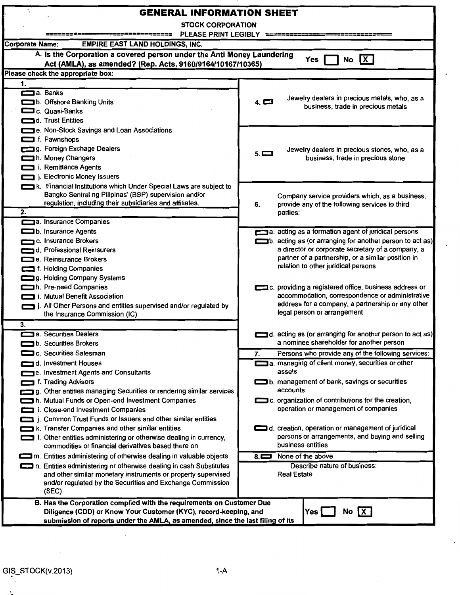| <b>GENERAL INFORMATION SHEET</b>                                                                                                                                                                                                                                                 |                                                                                                                                                                                                                                                                   |  |  |  |  |  |  |  |  |
|----------------------------------------------------------------------------------------------------------------------------------------------------------------------------------------------------------------------------------------------------------------------------------|-------------------------------------------------------------------------------------------------------------------------------------------------------------------------------------------------------------------------------------------------------------------|--|--|--|--|--|--|--|--|
| <b>STOCK CORPORATION</b>                                                                                                                                                                                                                                                         |                                                                                                                                                                                                                                                                   |  |  |  |  |  |  |  |  |
| PLEASE PRINT LEGIBLY<br><b>Corporate Name:</b><br><b>EMPIRE EAST LAND HOLDINGS, INC.</b>                                                                                                                                                                                         |                                                                                                                                                                                                                                                                   |  |  |  |  |  |  |  |  |
| A. Is the Corporation a covered person under the Anti Money Laundering                                                                                                                                                                                                           |                                                                                                                                                                                                                                                                   |  |  |  |  |  |  |  |  |
| $\overline{\mathbf{X}}$<br>No<br>Yes<br>Act (AMLA), as amended? (Rep. Acts. 9160/9164/10167/10365)                                                                                                                                                                               |                                                                                                                                                                                                                                                                   |  |  |  |  |  |  |  |  |
| Please check the appropriate box:                                                                                                                                                                                                                                                |                                                                                                                                                                                                                                                                   |  |  |  |  |  |  |  |  |
| 1.                                                                                                                                                                                                                                                                               |                                                                                                                                                                                                                                                                   |  |  |  |  |  |  |  |  |
| a. Banks<br>b. Offshore Banking Units<br>C. Quasi-Banks<br>d. Trust Entities                                                                                                                                                                                                     | Jewelry dealers in precious metals, who, as a<br>$4. \blacksquare$<br>business, trade in precious metals                                                                                                                                                          |  |  |  |  |  |  |  |  |
| e. Non-Stock Savings and Loan Associations<br>f. Pawnshops<br>g. Foreign Exchage Dealers<br>h. Money Changers<br>i. Remittance Agents<br>j. Electronic Money Issuers                                                                                                             | Jewelry dealers in precious stones, who, as a<br>$5. \blacksquare$<br>business, trade in precious stone                                                                                                                                                           |  |  |  |  |  |  |  |  |
| k. Financial Institutions which Under Special Laws are subject to<br>Bangko Sentral ng Pilipinas' (BSP) supervision and/or<br>regulation, including their subsidiaries and affiliates.<br>2.                                                                                     | Company service providers which, as a business,<br>provide any of the following services to third<br>6.<br>parties:                                                                                                                                               |  |  |  |  |  |  |  |  |
| a. Insurance Companies<br>b. Insurance Agents<br>c. Insurance Brokers<br>d. Professional Reinsurers<br>e. Reinsurance Brokers<br>f. Holding Companies<br>g. Holding Company Systems                                                                                              | a. acting as a formation agent of juridical persons<br>b. acting as (or arranging for another person to act as)<br>a director or corporate secretary of a company, a<br>partner of a partnership, or a similar position in<br>relation to other juridical persons |  |  |  |  |  |  |  |  |
| h. Pre-need Companies<br>i. Mutual Benefit Association<br>j. All Other Persons and entities supervised and/or regulated by<br>the Insurance Commission (IC)<br>3.                                                                                                                | c. providing a registered office, business address or<br>accommodation, correspondence or administrative<br>address for a company, a partnership or any other<br>legal person or arrangement                                                                      |  |  |  |  |  |  |  |  |
| a. Securities Dealers<br>b. Securities Brokers                                                                                                                                                                                                                                   | d. acting as (or arranging for another person to act as)<br>a nominee shareholder for another person                                                                                                                                                              |  |  |  |  |  |  |  |  |
| c. Securities Salesman                                                                                                                                                                                                                                                           | Persons who provide any of the following services:<br>7.                                                                                                                                                                                                          |  |  |  |  |  |  |  |  |
| d. Investment Houses<br>e. Investment Agents and Consultants                                                                                                                                                                                                                     | a. managing of client money, securities or other<br>assets                                                                                                                                                                                                        |  |  |  |  |  |  |  |  |
| f. Trading Advisors                                                                                                                                                                                                                                                              | b. management of bank, savings or securities                                                                                                                                                                                                                      |  |  |  |  |  |  |  |  |
| g. Other entities managing Securities or rendering similar services                                                                                                                                                                                                              | accounts                                                                                                                                                                                                                                                          |  |  |  |  |  |  |  |  |
| h. Mutual Funds or Open-end Investment Companies                                                                                                                                                                                                                                 | c. organization of contributions for the creation,                                                                                                                                                                                                                |  |  |  |  |  |  |  |  |
| i. Close-end Investment Companies<br>i. Common Trust Funds or Issuers and other similar entities<br>k. Transfer Companies and other similar entities<br>I. Other entities administering or otherwise dealing in currency,<br>commodities or financial derivatives based there on | operation or management of companies<br>d. creation, operation or management of juridical<br>persons or arrangements, and buying and selling<br>business entities                                                                                                 |  |  |  |  |  |  |  |  |
| m. Entities administering of otherwise dealing in valuable objects                                                                                                                                                                                                               | None of the above<br>$8\Box$                                                                                                                                                                                                                                      |  |  |  |  |  |  |  |  |
| n. Entities administering or otherwise dealing in cash Substitutes<br>and other similar monetary instruments or property supervised<br>and/or regulated by the Securities and Exchange Commission<br>(SEC)                                                                       | Describe nature of business:<br><b>Real Estate</b>                                                                                                                                                                                                                |  |  |  |  |  |  |  |  |
| B. Has the Corporation complied with the requirements on Customer Due<br>Diligence (CDD) or Know Your Customer (KYC), record-keeping, and<br>submission of reports under the AMLA, as amended, since the last filing of its                                                      | $Yes \vert$<br>IX.<br>No                                                                                                                                                                                                                                          |  |  |  |  |  |  |  |  |

 $\frac{1}{2}$ 

 $\ddot{\phantom{0}}$ 

.. '·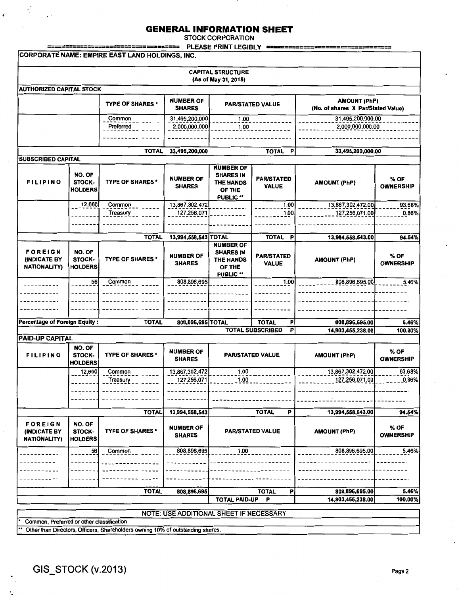STOCK CORPORATION

|                                                 | <b>PLEASE PRINT LEGIBLY</b> | ==================================== |  |  |  |  |  |  |  |  |
|-------------------------------------------------|-----------------------------|--------------------------------------|--|--|--|--|--|--|--|--|
| CORPORATE NAME: EMPIRE EAST LAND HOLDINGS, INC. |                             |                                      |  |  |  |  |  |  |  |  |
|                                                 |                             |                                      |  |  |  |  |  |  |  |  |
|                                                 | <b>CAPITAL STRUCTURE</b>    |                                      |  |  |  |  |  |  |  |  |
|                                                 | (As of May 31, 2015)        |                                      |  |  |  |  |  |  |  |  |

| AUTHORIZED CAPITAL STOCK |                         |                                   |                         |                                                           |
|--------------------------|-------------------------|-----------------------------------|-------------------------|-----------------------------------------------------------|
|                          | <b>TYPE OF SHARES *</b> | <b>NUMBER OF</b><br><b>SHARES</b> | <b>PAR/STATED VALUE</b> | <b>AMOUNT (PhP)</b><br>(No. of shares X Par/Stated Value) |
|                          | Common                  | 31,495,200,000                    | 1.00                    | 31,495,200,000.00                                         |
|                          | Preferred               | 2.000.000.000                     | 1.00                    | 2,000,000,000.00                                          |
|                          |                         |                                   |                         |                                                           |
|                          |                         |                                   |                         |                                                           |
|                          | <b>TOTAL</b>            | 33,495,200,000                    | TOTAL                   | 33,495,200,000.00                                         |

| <b>SUBSCRIBED CAPITAL</b>                                    |                                    |                         |                                   |                                                                                        |                                   |                     |                          |
|--------------------------------------------------------------|------------------------------------|-------------------------|-----------------------------------|----------------------------------------------------------------------------------------|-----------------------------------|---------------------|--------------------------|
| <b>FILIPINO</b>                                              | NO. OF<br>STOCK-<br><b>HOLDERS</b> | <b>TYPE OF SHARES *</b> | <b>NUMBER OF</b><br><b>SHARES</b> | <b>NUMBER OF</b><br><b>SHARES IN</b><br><b>THE HANDS</b><br>OF THE<br>PUBLIC **        | <b>PAR/STATED</b><br><b>VALUE</b> | <b>AMOUNT (PhP)</b> | % OF<br><b>OWNERSHIP</b> |
|                                                              | 12,660                             | Common                  | 13,867,302,472                    |                                                                                        | 1.00                              | 13,867,302,472.00   | 93.68%                   |
|                                                              |                                    | Treasury                | 127,256,071                       |                                                                                        | 1.00                              | 127,256,071.00      | 0.86%                    |
|                                                              |                                    |                         |                                   |                                                                                        |                                   |                     |                          |
|                                                              |                                    | <b>TOTAL</b>            | 13,994,558,543 TOTAL              |                                                                                        | <b>TOTAL</b><br>P                 | 13,994,558,543.00   | 94.54%                   |
| <b>FOREIGN</b><br><b>(INDICATE BY</b><br><b>NATIONALITY)</b> | NO. OF<br>STOCK-<br><b>HOLDERS</b> | <b>TYPE OF SHARES*</b>  | <b>NUMBER OF</b><br><b>SHARES</b> | <b>NUMBER OF</b><br><b>SHARES IN</b><br><b>THE HANDS</b><br>OF THE<br><b>PUBLIC **</b> | <b>PAR/STATED</b><br><b>VALUE</b> | <b>AMOUNT (PhP)</b> | % OF<br><b>OWNERSHIP</b> |
|                                                              | 56                                 | Common                  | 808,896,695                       |                                                                                        | 1,00                              | 808,896,695.00      | 5.46%                    |
| Percentage of Foreign Equity:                                |                                    | <b>TOTAL</b>            | 808,896,695 TOTAL                 |                                                                                        | <b>TOTAL</b><br>Р                 | 808,896,695.00      | 5.46%                    |
|                                                              |                                    |                         |                                   |                                                                                        | <b>TOTAL SUBSCRIBED</b><br>P      | 14,803,455,238.00   | 100.00%                  |
| PAID-UP CAPITAL                                              |                                    |                         |                                   |                                                                                        |                                   |                     |                          |

| <b>FILIPINO</b>                                              | NO. OF<br>STOCK-<br><b>HOLDERS</b> | <b>TYPE OF SHARES*</b>  | <b>NUMBER OF</b><br><b>SHARES</b> | <b>PAR/STATED VALUE</b>   | <b>AMOUNT (PhP)</b> | % OF<br><b>OWNERSHIP</b> |
|--------------------------------------------------------------|------------------------------------|-------------------------|-----------------------------------|---------------------------|---------------------|--------------------------|
|                                                              | 12,660                             | Common                  | 13,867,302,472                    | 1.00                      | 13,867,302,472.00   | 93.68%                   |
|                                                              |                                    | Treasury                | 127,256,071                       | 1.00                      | 127,256,071.00      | 0.86%                    |
|                                                              |                                    |                         |                                   |                           |                     |                          |
|                                                              |                                    | <b>TOTAL</b>            | 13,994,558,543                    | P<br><b>TOTAL</b>         | 13,994,558,543.00   | 94.54%                   |
| <b>FOREIGN</b><br><b>(INDICATE BY</b><br><b>NATIONALITY)</b> | NO. OF<br>STOCK-<br><b>HOLDERS</b> | <b>TYPE OF SHARES *</b> | <b>NUMBER OF</b><br><b>SHARES</b> | <b>PAR/STATED VALUE</b>   | <b>AMOUNT (PhP)</b> | % OF<br><b>OWNERSHIP</b> |
|                                                              | 56                                 | Common                  | 808,896,695                       | 1.00                      | 808,896,695.00      | 5.46%                    |
|                                                              |                                    |                         |                                   |                           |                     |                          |
|                                                              |                                    |                         |                                   |                           |                     |                          |
|                                                              |                                    | <b>TOTAL</b>            | 808,896,695                       | <b>TOTAL</b><br>P         | 808,896,695.00      | 5.46%                    |
|                                                              |                                    |                         |                                   | <b>TOTAL PAID-UP</b><br>P | 14,803,455,238.00   | 100.00%                  |

NOTE: USE ADDITIONAL SHEET IF NECESSARY

Common, Preferred or other classification

Other than Directors, Officers, Shareholders owning 10% of outstanding shares.

·--·

 $\mathbf{r}$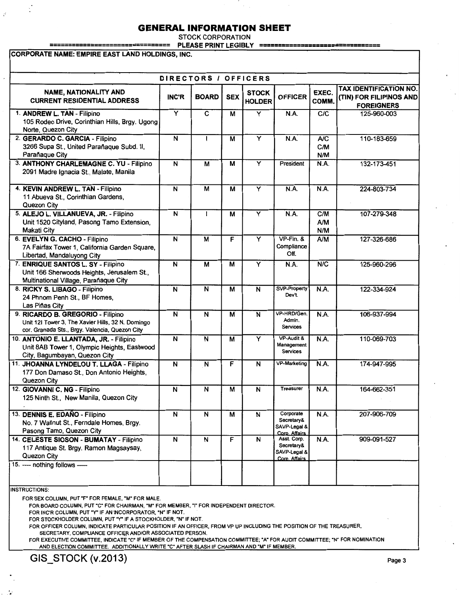STOCK CORPORATION

================================ PLEASE PRINT LEGIBLY ================================

CORPORATE NAME: EMPIRE EAST LAND HOLDINGS, INC.

| DIRECTORS / OFFICERS                                                                                                                     |                         |                         |                |                               |                                                            |                   |                                                                               |  |  |  |  |
|------------------------------------------------------------------------------------------------------------------------------------------|-------------------------|-------------------------|----------------|-------------------------------|------------------------------------------------------------|-------------------|-------------------------------------------------------------------------------|--|--|--|--|
| <b>NAME, NATIONALITY AND</b><br><b>CURRENT RESIDENTIAL ADDRESS</b>                                                                       | <b>INC'R</b>            | <b>BOARD</b>            | <b>SEX</b>     | <b>STOCK</b><br><b>HOLDER</b> | <b>OFFICER</b>                                             | EXEC.<br>COMM.    | <b>TAX IDENTIFICATION NO.</b><br>(TIN) FOR FILIPINOS AND<br><b>FOREIGNERS</b> |  |  |  |  |
| 1. ANDREW L. TAN - Filipino<br>105 Rodeo Drive, Corinthian Hills, Brgy. Ugong<br>Norte, Quezon City                                      | $\overline{\mathsf{Y}}$ | $\overline{c}$          | M              | $\overline{\mathsf{Y}}$       | N.A.                                                       | C/C               | 125-960-003                                                                   |  |  |  |  |
| 2. GERARDO C. GARCIA - Filipino<br>3266 Supa St., United Parañaque Subd. II,<br>Parañaque City                                           | N                       |                         | M              | Y                             | <b>N.A.</b>                                                | AC<br>C/M<br>N/M  | 110-183-659                                                                   |  |  |  |  |
| 3. ANTHONY CHARLEMAGNE C. YU - Filipino<br>2091 Madre Ignacia St., Malate, Manila                                                        | $\overline{\mathsf{N}}$ | M                       | $\overline{M}$ | $\overline{\mathsf{Y}}$       | President                                                  | N.A.              | 132-173-451                                                                   |  |  |  |  |
| 4. KEVIN ANDREW L. TAN - Filipino<br>11 Abueva St., Corinthian Gardens,<br>Quezon City                                                   | $\overline{\mathsf{N}}$ | M                       | $\overline{M}$ | $\overline{\mathsf{Y}}$       | N.A.                                                       | N.A.              | 224-803-734                                                                   |  |  |  |  |
| 5. ALEJO L. VILLANUEVA, JR. - Filipino<br>Unit 1520 Cityland, Pasong Tamo Extension,<br><b>Makati City</b>                               | $\overline{\mathsf{N}}$ | ı                       | M              | $\overline{\mathsf{Y}}$       | N.A.                                                       | C/M<br>A/M<br>N/M | 107-279-348                                                                   |  |  |  |  |
| 6. EVELYN G. CACHO - Filipino<br>7A Fairfax Tower 1, California Garden Square,<br>Libertad, Mandaluyong City                             | N                       | M                       | F              | Y                             | $VP-Fin.$ &<br>Compliance<br>Off.                          | A/M               | 127-326-686                                                                   |  |  |  |  |
| 7. ENRIQUE SANTOS L. SY - Filipino<br>Unit 166 Sherwoods Heights, Jerusalem St.,<br>Multinational Village, Parañaque City                | $\overline{\mathsf{N}}$ | м                       | M              | $\overline{Y}$                | <b>N.A.</b>                                                | N/C               | 125-960-296                                                                   |  |  |  |  |
| 8. RICKY S. LIBAGO - Filipino<br>24 Phnom Penh St., BF Homes,<br>Las Piñas City                                                          | N.                      | N                       | M              | $\overline{\mathsf{N}}$       | <b>SVP-Property</b><br>Dev't.                              | N.A.              | 122-334-924                                                                   |  |  |  |  |
| 9. RICARDO B. GREGORIO - Filipino<br>Unit 12I Tower 3, The Xavier Hills, 32 N. Domingo<br>cor. Granada Sts., Brgy. Valencia, Quezon City | N                       | N                       | M              | $\overline{\mathsf{N}}$       | VP-HRD/Gen.<br>Admin.<br>Services                          | N.A.              | 106-937-994                                                                   |  |  |  |  |
| 10. ANTONIO E. LLANTADA, JR. - Filipino<br>Unit 8AB Tower 1, Olympic Heights, Eastwood<br>City, Bagumbayan, Quezon City                  | $\overline{N}$          | $\overline{\mathsf{N}}$ | M              | $\overline{\mathsf{Y}}$       | VP-Audit &<br>Management<br>Services                       | <b>N.A.</b>       | 110-069-703                                                                   |  |  |  |  |
| 11. JHOANNA LYNDELOU T. LLAGA - Filipino<br>177 Don Damaso St., Don Antonio Heights,<br>Quezon City                                      | N                       | N                       | F              | N                             | VP-Marketing                                               | <b>N.A.</b>       | 174-947-995                                                                   |  |  |  |  |
| 12. GIOVANNI C. NG - Filipino<br>125 Ninth St., New Manila, Quezon City                                                                  | $\overline{\mathsf{N}}$ | N                       | M              | Ñ                             | <b>Treasurer</b>                                           | N.A.              | 164-662-351                                                                   |  |  |  |  |
| 13. DENNIS E. EDAÑO - Filipino<br>No. 7 Wallnut St., Ferndale Homes, Brgy.<br>Pasong Tamo, Quezon City                                   | N                       | $\overline{\mathsf{N}}$ | M              | N                             | Corporate<br>Secretary&<br>SAVP-Legal &<br>Corp. Affairs   | N.A.              | 207-906-709                                                                   |  |  |  |  |
| 14. CELESTE SIOSON - BUMATAY - Filipino<br>117 Antique St. Brgy. Ramon Magsaysay,<br>Quezon City                                         | $\overline{\mathsf{N}}$ | N                       | F              | N                             | Asst. Corp.<br>Secretary&<br>SAVP-Legal &<br>Corp. Affairs | N.A.              | 909-091-527                                                                   |  |  |  |  |
| 15. ---- nothing follows -----                                                                                                           |                         |                         |                |                               |                                                            |                   |                                                                               |  |  |  |  |

INSTRUCTIONS:

·•

FOR SEX COLUMN, PUT "F" FOR FEMALE, "M" FOR MALE.

FOR BOARD COLUMN, PUT "C" FOR CHAIRMAN, "M" FOR MEMBER, "I" FOR INDEPENDENT DIRECTOR.

FOR INC'R COLUMN, PUT "Y" IF AN INCORPORATOR, "N" IF NOT.

FOR STOCKHOLDER COLUMN, PUT "Y" IF A STOCKHOLDER, "N" IF NOT.

FOR OFFICER COLUMN, INDICATE PARTICULAR POSITION IF AN OFFICER, FROM VP UP INCLUDING THE POSITION OF THE TREASURER, SECRETARY, COMPLIANCE OFFICER AND/OR ASSOCIATED PERSON.

FOR EXECUTIVE COMMITTEE, INDICATE "C" IF MEMBER OF THE COMPENSATION COMMITTEE; "A" FOR AUDIT COMMITTEE; "N" FOR NOMINATION AND ELECTION COMMITTEE. ADDITIONALLY WRITE "C" AFTER SLASH IF CHAIRMAN AND "M" IF MEMBER.

GIS\_STOCK (v.2013) Page 3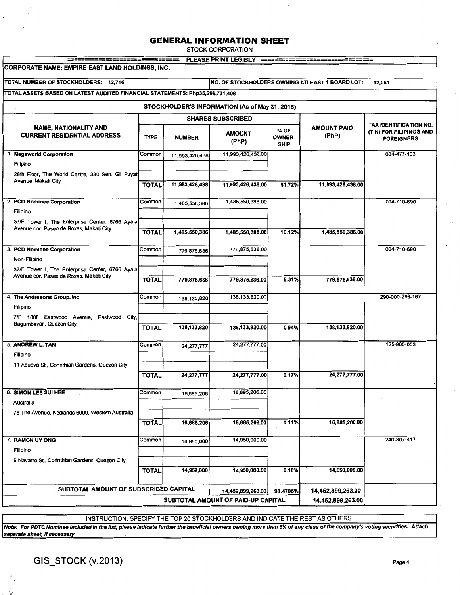STOCK CORPORATION

| =================================                                                          |                   |                |                                                |                               | PLEASE PRINT LEGIBLY ================================== |                                              |
|--------------------------------------------------------------------------------------------|-------------------|----------------|------------------------------------------------|-------------------------------|---------------------------------------------------------|----------------------------------------------|
| CORPORATE NAME: EMPIRE EAST LAND HOLDINGS, INC.                                            |                   |                |                                                |                               |                                                         |                                              |
| TOTAL NUMBER OF STOCKHOLDERS: 12,716                                                       |                   |                |                                                |                               | NO. OF STOCKHOLDERS OWNING ATLEAST 1 BOARD LOT:         | 12,051                                       |
| TOTAL ASSETS BASED ON LATEST AUDITED FINANCIAL STATEMENTS: Php35,296,731,408               |                   |                |                                                |                               |                                                         |                                              |
|                                                                                            |                   |                | STOCKHOLDER'S INFORMATION (As of May 31, 2015) |                               |                                                         |                                              |
|                                                                                            |                   |                | <b>SHARES SUBSCRIBED</b>                       |                               |                                                         | TAX IDENTIFICATION NO.                       |
| <b>NAME, NATIONALITY AND</b><br><b>CURRENT RESIDENTIAL ADDRESS</b>                         | <b>TYPE</b>       | <b>NUMBER</b>  | <b>AMOUNT</b><br>(PhP)                         | % OF<br><b>OWNER-</b><br>SHIP | <b>AMOUNT PAID</b><br>(PhP)                             | (TIN) FOR FILIPINOS AND<br><b>FOREIGNERS</b> |
| 1. Megaworld Corporation                                                                   | Common            | 11,993,426,438 | 11,993,426,438.00                              |                               |                                                         | 004-477-103                                  |
| Filipino                                                                                   |                   |                |                                                |                               |                                                         |                                              |
| 28th Floor, The World Centre, 330 Sen. Gil Puyat<br>Avenue, Makati City                    |                   |                |                                                |                               |                                                         |                                              |
|                                                                                            | <b>TOTAL</b>      | 11,993,426,438 | 11,993,426,438.00                              | 81.72%                        | 11,993,426,438.00                                       |                                              |
| 2. PCD Nominee Corporation                                                                 | Common            | 1,485,550,386  | 1,485,550,386.00                               |                               |                                                         | 004-710-690                                  |
| Filipino                                                                                   |                   |                |                                                |                               |                                                         |                                              |
| 37/F Tower I, The Enterprise Center, 6766 Ayala<br>Avenue cor. Paseo de Roxas, Makati City |                   |                |                                                |                               |                                                         |                                              |
|                                                                                            | <b>TOTAL</b>      | 1,485,550,386  | 1,485,550,386.00                               | 10.12%                        | 1,485,550,386.00                                        |                                              |
| 3. PCD Nominee Corporation                                                                 | Common            | 779,875,636    | 779,875,636.00                                 |                               |                                                         | 004-710-690                                  |
| Non-Filipino                                                                               |                   |                |                                                |                               |                                                         |                                              |
| 37/F Tower I, The Enterprise Center, 6766 Ayala<br>Avenue cor. Paseo de Roxas, Makati City |                   |                |                                                |                               |                                                         |                                              |
|                                                                                            | <b>TOTAL</b>      | 779,875,636    | 779,875,636.00                                 | 5.31%                         | 779,875,636.00                                          |                                              |
| 4. The Andresons Group, Inc.                                                               | Common            | 138,133,820    | 138,133,820.00                                 |                               |                                                         | 290-000-298-167                              |
| Filipino                                                                                   |                   |                |                                                |                               |                                                         |                                              |
| 7/F 1880 Eastwood Avenue, Eastwood City.<br>Bagumbayan, Quezon City                        |                   |                |                                                |                               |                                                         |                                              |
|                                                                                            | <b>TOTAL</b>      | 138,133,820    | 138,133,820.00                                 | 0.94%                         | 138,133,820.00                                          |                                              |
| 5. ANDREW L. TAN                                                                           | Common            | 24, 277, 777   | 24,277,777.00                                  |                               |                                                         | 125-960-003                                  |
| Filipino                                                                                   |                   |                |                                                |                               |                                                         |                                              |
| 11 Abueva St., Connthian Gardens, Quezon City                                              |                   |                |                                                |                               |                                                         |                                              |
|                                                                                            | <b>TOTAL</b>      | 24,277,777     | 24,277,777.00                                  | 0.17%                         | 24,277,777.00                                           |                                              |
| 6. SIMON LEE SUI HEE                                                                       | Common            | 16,685,206     | 16,685,206.00                                  |                               |                                                         |                                              |
| Australia                                                                                  |                   |                |                                                |                               |                                                         |                                              |
| 78 The Avenue, Nedlands 6009, Western Australia                                            |                   |                |                                                |                               |                                                         |                                              |
|                                                                                            | <b>TOTAL</b>      | 16,685,206     | 16,685,206.00                                  | 0.11%                         | 16,685,206.00                                           |                                              |
| 7. RAMON UY ONG                                                                            | Common            | 14,950,000     | 14,950,000.00                                  |                               |                                                         | 240-307-417                                  |
| Filipino                                                                                   |                   |                |                                                |                               |                                                         |                                              |
| 9 Navarro St., Connthian Gardens, Quezon City                                              | <b>TOTAL</b>      | 14,950,000     | 14,950,000.00                                  | 0.10%                         | 14,950,000.00                                           |                                              |
|                                                                                            |                   |                |                                                |                               |                                                         |                                              |
| SUBTOTAL AMOUNT OF SUBSCRIBED CAPITAL                                                      |                   |                | 14,452,899,263.00                              | 98.4785%                      | 14,452,899,263.00                                       |                                              |
|                                                                                            | 14,452,899,263.00 |                |                                                |                               |                                                         |                                              |

INSTRUCTION: SPECIFY THE TOP 20 STOCKHOLDERS AND INDICATE THE REST AS OTHERS

Note: For PDTC Nominee included in the list, please indicate further the beneficial owners owning more than 5% of any class of the company's voting securities. Attach separate sheet, if necessary.

GIS\_STOCK (v.2013) Page 4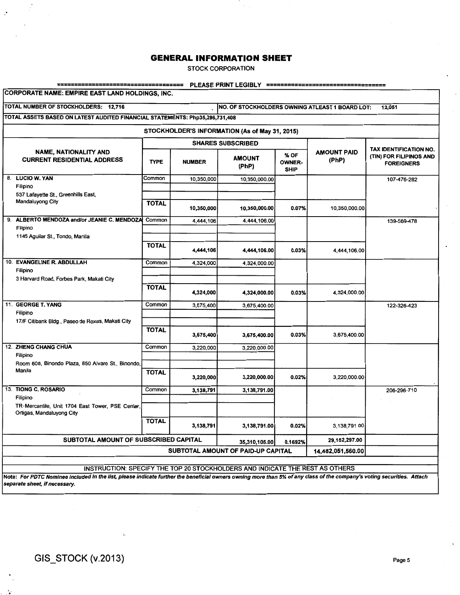STOCK CORPORATION

#### ==================================== PLEASE PRINT LEGIBLY ==================================

CORPORATE NAME: EMPIRE EAST LAND HOLDINGS, INC.

 $\mathcal{I}$ 

TOTAL NUMBER OF STOCKHOLDERS: 12,716 NO. OF STOCKHOLDERS OWNING ATLEAST 1 BOARD LOT: 12,051

TOTAL ASSETS BASED ON LATEST AUDITED FINANCIAL STATEMENTS: Php35,296,731,408

STOCKHOLDER'S INFORMATION (As of May 31, 2015)

|  |                                                                              |              |               | <b>SHARES SUBSCRIBED</b>           |                                      | TAX IDENTIFICATION NO.      |                                              |  |  |  |  |
|--|------------------------------------------------------------------------------|--------------|---------------|------------------------------------|--------------------------------------|-----------------------------|----------------------------------------------|--|--|--|--|
|  | <b>NAME, NATIONALITY AND</b><br><b>CURRENT RESIDENTIAL ADDRESS</b>           | <b>TYPE</b>  | <b>NUMBER</b> | <b>AMOUNT</b><br>(PhP)             | % OF<br><b>OWNER-</b><br><b>SHIP</b> | <b>AMOUNT PAID</b><br>(PhP) | (TIN) FOR FILIPINOS AND<br><b>FOREIGNERS</b> |  |  |  |  |
|  | 8. LUCIO W. YAN                                                              | Common       | 10,350,000    | 10,350,000.00                      |                                      |                             | 107-476-282                                  |  |  |  |  |
|  | Filipino<br>537 Lafayette St., Greenhills East,                              |              |               |                                    |                                      |                             |                                              |  |  |  |  |
|  | Mandaluyong City                                                             | <b>TOTAL</b> | 10,350,000    | 10,350,000.00                      | 0.07%                                | 10,350,000.00               |                                              |  |  |  |  |
|  | 9. ALBERTO MENDOZA and/or JEANIE C. MENDOZA                                  | Common       | 4,444,106     | 4,444,106.00                       |                                      |                             | 139-569-478                                  |  |  |  |  |
|  | Filipino<br>1145 Aguilar St., Tondo, Manila                                  |              |               |                                    |                                      |                             |                                              |  |  |  |  |
|  |                                                                              | <b>TOTAL</b> |               |                                    |                                      |                             |                                              |  |  |  |  |
|  |                                                                              |              | 4,444,106     | 4,444,106.00                       | 0.03%                                | 4,444,106.00                |                                              |  |  |  |  |
|  | 10. EVANGELINE R. ABDULLAH                                                   | Common       | 4,324,000     | 4.324,000.00                       |                                      |                             |                                              |  |  |  |  |
|  | Filipino<br>3 Harvard Road, Forbes Park, Makati City                         |              |               |                                    |                                      |                             |                                              |  |  |  |  |
|  |                                                                              | <b>TOTAL</b> |               |                                    |                                      |                             |                                              |  |  |  |  |
|  |                                                                              |              | 4,324,000     | 4,324,000.00                       | 0.03%                                | 4,324,000.00                |                                              |  |  |  |  |
|  | 11. GEORGE T. YANG                                                           | Common       | 3,675,400     | 3,675,400.00                       |                                      |                             | 122-326-423                                  |  |  |  |  |
|  | Filipino<br>17/F Citibank Bldg., Paseo de Roxas, Makati City                 |              |               |                                    |                                      |                             |                                              |  |  |  |  |
|  |                                                                              | <b>TOTAL</b> |               |                                    |                                      |                             |                                              |  |  |  |  |
|  |                                                                              |              | 3,675,400     | 3,675,400.00                       | 0.03%                                | 3,675,400.00                |                                              |  |  |  |  |
|  | 12. ZHENG CHANG CHUA                                                         | Common       | 3,220,000     | 3,220,000.00                       |                                      |                             |                                              |  |  |  |  |
|  | Filipino<br>Room 608, Binondo Plaza, 850 Alvaro St., Binondo,                |              |               |                                    |                                      |                             |                                              |  |  |  |  |
|  | Manila                                                                       | <b>TOTAL</b> |               |                                    |                                      |                             |                                              |  |  |  |  |
|  |                                                                              |              | 3,220,000     | 3,220,000.00                       | 0.02%                                | 3,220,000.00                |                                              |  |  |  |  |
|  | 13. TIONG C. ROSARIO                                                         | Common       | 3,138,791     | 3,138,791.00                       |                                      |                             | 206-296-710                                  |  |  |  |  |
|  | Filipino<br>TR-Mercantile, Unit 1704 East Tower, PSE Center,                 |              |               |                                    |                                      |                             |                                              |  |  |  |  |
|  | Ortigas, Mandaluyong City                                                    |              |               |                                    |                                      |                             |                                              |  |  |  |  |
|  |                                                                              | <b>TOTAL</b> | 3,138,791     | 3,138,791.00                       | 0.02%                                | 3,138,791.00                |                                              |  |  |  |  |
|  |                                                                              |              |               |                                    |                                      |                             |                                              |  |  |  |  |
|  |                                                                              |              |               | SUBTOTAL AMOUNT OF PAID-UP CAPITAL |                                      | 14,482,051,560.00           |                                              |  |  |  |  |
|  |                                                                              |              |               |                                    |                                      |                             |                                              |  |  |  |  |
|  | INSTRUCTION: SPECIFY THE TOP 20 STOCKHOLDERS AND INDICATE THE REST AS OTHERS |              |               |                                    |                                      |                             |                                              |  |  |  |  |

Note: For PDTC Nominee included in the list, please indicate further the beneficial owners owning more than 5% of any class of the company's voting securities. Attach separate sheet, if necessary.

'· .•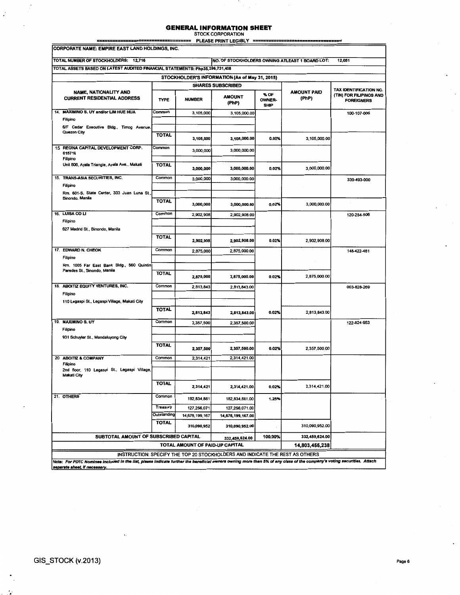# **GENERAL INFORMATION SHEET** STOCK CORPORATION

= PLEASE PRINT LEGIBLY =

|                                  | CORPORATE NAME: EMPIRE EAST LAND HOLDINGS, INC.                                                                                                                        |              |                                 |                                                                              |                               |                                                 |                                              |
|----------------------------------|------------------------------------------------------------------------------------------------------------------------------------------------------------------------|--------------|---------------------------------|------------------------------------------------------------------------------|-------------------------------|-------------------------------------------------|----------------------------------------------|
|                                  | TOTAL NUMBER OF STOCKHOLDERS: 12,716                                                                                                                                   |              |                                 |                                                                              |                               | NO. OF STOCKHOLDERS OWNING ATLEAST 1 BOARD LOT: | 12,051                                       |
|                                  | TOTAL ASSETS BASED ON LATEST AUDITED FINANCIAL STATEMENTS: Php35,296,731,408                                                                                           |              |                                 |                                                                              |                               |                                                 |                                              |
|                                  |                                                                                                                                                                        |              |                                 | STOCKHOLDER'S INFORMATION (As of May 31, 2015)                               |                               |                                                 |                                              |
|                                  |                                                                                                                                                                        |              |                                 | <b>SHARES SUBSCRIBED</b>                                                     |                               |                                                 | TAX IDENTIFICATION NO.                       |
|                                  | NAME, NATIONALITY AND<br><b>CURRENT RESIDENTIAL ADDRESS</b>                                                                                                            | <b>TYPE</b>  | <b>NUMBER</b>                   | <b>AMOUNT</b><br>(PhP)                                                       | % OF<br>OWNER-<br><b>SHIP</b> | <b>AMOUNT PAID</b><br>(PhP)                     | (TIN) FOR FILIPINOS AND<br><b>FOREIGNERS</b> |
|                                  | 14. MAXIMINO S. UY and/or LIM HUE HUA                                                                                                                                  | Common       | 3,105,000                       | 3,105,000.00                                                                 |                               |                                                 | 100-107-006                                  |
| Filipino                         | 6/F Cedar Executive Bldg., Timog Avenue,                                                                                                                               |              |                                 |                                                                              |                               |                                                 |                                              |
| Quezon City                      |                                                                                                                                                                        | <b>TOTAL</b> | 3,105,000                       | 3,105,000.00                                                                 | 0.02%                         | 3,105,000.00                                    |                                              |
| 015716                           | 15 REGINA CAPITAL DEVELOPMENT CORP.                                                                                                                                    | Common       | 3,000,000                       | 3,000,000.00                                                                 |                               |                                                 |                                              |
| Filipino                         | Unit 806, Ayala Triangle, Ayala Ave., Makati                                                                                                                           | <b>TOTAL</b> | 3,000,000                       | 3,000,000.00                                                                 | 0.02%                         | 3,000,000.00                                    |                                              |
|                                  | 15. TRANS-ASIA SECURITIES, INC.                                                                                                                                        | Common       | 3,000,000                       | 3,000,000.00                                                                 |                               |                                                 | 339-493-000                                  |
| Filipino                         |                                                                                                                                                                        |              |                                 |                                                                              |                               |                                                 |                                              |
| Binondo, Manila                  | Rm. 601-S, State Center, 333 Juan Luna St.,                                                                                                                            |              |                                 |                                                                              |                               |                                                 |                                              |
|                                  |                                                                                                                                                                        | <b>TOTAL</b> | 3,000,000                       | 3,000,000.00                                                                 | 0.02%                         | 3,000,000.00                                    |                                              |
| 16. LUISA CO LI<br>Filipino      |                                                                                                                                                                        | Common       | 2,902,908                       | 2,902,908.00                                                                 |                               |                                                 | 120-254-506                                  |
|                                  | 627 Madrid St., Binondo, Manila                                                                                                                                        |              |                                 |                                                                              |                               |                                                 |                                              |
|                                  |                                                                                                                                                                        | <b>TOTAL</b> | 2,902,908                       | 2,902,908.00                                                                 | 0.02%                         | 2,902,908.00                                    |                                              |
| 17. EDWARD N. CHEOK<br>Filipino  |                                                                                                                                                                        | Common       | 2.875.000                       | 2,875,000.00                                                                 |                               |                                                 | 148-422-481                                  |
|                                  | Rm. 1005 Far East Bank Bldg., 560 Quintin<br>Paredes St., Binondo, Manila                                                                                              | <b>TOTAL</b> | 2,875,000                       | 2,875,000.00                                                                 | 0.02%                         | 2,875,000.00                                    |                                              |
| Filipino                         | 18. ABOITIZ EQUITY VENTURES, INC.                                                                                                                                      | Common       | 2,813,843                       | 2,813,843.00                                                                 |                               |                                                 | 003-828-269                                  |
|                                  | 110 Legaspi St., Legaspi Village, Makati City                                                                                                                          |              |                                 |                                                                              |                               |                                                 |                                              |
|                                  |                                                                                                                                                                        | <b>TOTAL</b> | 2,813,843                       | 2,813,843.00                                                                 | 0.02%                         | 2,813,843.00                                    |                                              |
| 19. MAXIMINO S. UY<br>Filipino   |                                                                                                                                                                        | Common       | 2,357,500                       | 2,357,500.00                                                                 |                               |                                                 | 122-824-953                                  |
|                                  | 931 Schuyler St., Mandaluyong City                                                                                                                                     |              |                                 |                                                                              |                               |                                                 |                                              |
|                                  |                                                                                                                                                                        | <b>TOTAL</b> | 2,357,500                       | 2,357,500.00                                                                 | 0.02%                         | 2,357,500.00                                    |                                              |
| 20 ABOITIZ & COMPANY<br>Filipino |                                                                                                                                                                        | Common       | 2,314,421                       | 2,314,421.00                                                                 |                               |                                                 |                                              |
| <b>Makati City</b>               | 2nd floor, 110 Legaspi St., Legaspi Village,                                                                                                                           |              |                                 |                                                                              |                               |                                                 |                                              |
|                                  |                                                                                                                                                                        | <b>TOTAL</b> | 2,314,421                       | 2,314,421.00                                                                 | 0.02%                         | 2,314,421.00                                    |                                              |
| 21. OTHERS                       |                                                                                                                                                                        | Common       | 182,834,881                     | 182,834,881.00                                                               | 1.25%                         |                                                 |                                              |
|                                  |                                                                                                                                                                        | Treasury     | 127,256,071                     | 127,256,071.00                                                               |                               |                                                 |                                              |
|                                  |                                                                                                                                                                        | Outstanding  | 14,676,199,167                  | 14,676,199,167.00                                                            |                               |                                                 |                                              |
|                                  |                                                                                                                                                                        | <b>TOTAL</b> | 310,090,952                     | 310,090,952.00                                                               |                               | 310,090,952.00                                  |                                              |
|                                  | SUBTOTAL AMOUNT OF SUBSCRIBED CAPITAL                                                                                                                                  |              |                                 | 332,459,624.00                                                               | 100.00%                       | 332,459,624.00                                  |                                              |
|                                  |                                                                                                                                                                        |              | TOTAL AMOUNT OF PAID-UP CAPITAL |                                                                              |                               | 14,803,455,238                                  |                                              |
|                                  | Note: For PDTC Nominee included in the list, please indicate further the beneficial owners owning more than 5% of any class of the company's voting securities. Attach |              |                                 | INSTRUCTION: SPECIFY THE TOP 20 STOCKHOLDERS AND INDICATE THE REST AS OTHERS |                               |                                                 |                                              |
|                                  | separate sheet, if necessary.                                                                                                                                          |              |                                 |                                                                              |                               |                                                 |                                              |

'· .•

 $\mathcal{L}$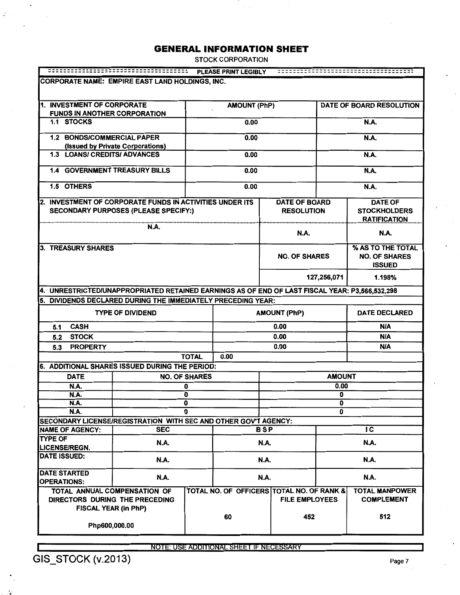STOCK CORPORATION

|                                                                                                |                                             |                      | <b>PLEASE PRINT LEGIBLY</b> |                                                                    |                                           |                              |                                                              |
|------------------------------------------------------------------------------------------------|---------------------------------------------|----------------------|-----------------------------|--------------------------------------------------------------------|-------------------------------------------|------------------------------|--------------------------------------------------------------|
| <b>CORPORATE NAME: EMPIRE EAST LAND HOLDINGS, INC.</b>                                         |                                             |                      |                             |                                                                    |                                           |                              |                                                              |
|                                                                                                |                                             |                      |                             |                                                                    |                                           |                              |                                                              |
| 1. INVESTMENT OF CORPORATE                                                                     |                                             |                      | <b>AMOUNT (PhP)</b>         |                                                                    |                                           |                              | <b>DATE OF BOARD RESOLUTION</b>                              |
| <b>FUNDS IN ANOTHER CORPORATION</b>                                                            |                                             |                      |                             |                                                                    |                                           |                              |                                                              |
| 1.1 STOCKS                                                                                     |                                             |                      | 0.00                        |                                                                    |                                           |                              | N.A.                                                         |
| 1.2 BONDS/COMMERCIAL PAPER                                                                     |                                             |                      | 0.00                        |                                                                    |                                           |                              | N.A.                                                         |
| <b>1.3 LOANS/ CREDITS/ ADVANCES</b>                                                            | (Issued by Private Corporations)            |                      | 0.00                        |                                                                    |                                           |                              | N.A.                                                         |
| <b>1.4 GOVERNMENT TREASURY BILLS</b>                                                           |                                             |                      | 0.00                        |                                                                    |                                           |                              | N.A.                                                         |
| 1.5 OTHERS                                                                                     |                                             |                      | 0.00                        |                                                                    |                                           |                              | <b>N.A.</b>                                                  |
|                                                                                                |                                             |                      |                             |                                                                    |                                           |                              |                                                              |
| 2. INVESTMENT OF CORPORATE FUNDS IN ACTIVITIES UNDER ITS                                       | <b>SECONDARY PURPOSES (PLEASE SPECIFY:)</b> |                      |                             |                                                                    | <b>DATE OF BOARD</b><br><b>RESOLUTION</b> |                              | <b>DATE OF</b><br><b>STOCKHOLDERS</b><br><b>RATIFICATION</b> |
|                                                                                                | N.A.                                        |                      |                             |                                                                    | <b>N.A.</b>                               |                              | <b>N.A.</b>                                                  |
| 3. TREASURY SHARES                                                                             |                                             |                      |                             | <b>NO. OF SHARES</b>                                               |                                           |                              | % AS TO THE TOTAL<br><b>NO. OF SHARES</b><br><b>ISSUED</b>   |
|                                                                                                |                                             |                      |                             | 127,256,071                                                        |                                           |                              | 1.198%                                                       |
| 4. UNRESTRICTED/UNAPPROPRIATED RETAINED EARNINGS AS OF END OF LAST FISCAL YEAR: P3,566,532,298 |                                             |                      |                             |                                                                    |                                           |                              |                                                              |
| 5. DIVIDENDS DECLARED DURING THE IMMEDIATELY PRECEDING YEAR:                                   |                                             |                      |                             |                                                                    |                                           |                              |                                                              |
|                                                                                                | <b>TYPE OF DIVIDEND</b>                     |                      |                             | <b>AMOUNT (PhP)</b>                                                |                                           |                              | <b>DATE DECLARED</b>                                         |
| <b>CASH</b><br>5.1                                                                             |                                             |                      |                             | 0.00                                                               |                                           |                              | <b>N/A</b>                                                   |
| <b>STOCK</b><br>5.2                                                                            |                                             |                      |                             |                                                                    | 0.00                                      |                              | N/A                                                          |
| <b>PROPERTY</b><br>5.3                                                                         |                                             |                      |                             |                                                                    | 0.00                                      |                              | <b>N/A</b>                                                   |
|                                                                                                |                                             | <b>TOTAL</b>         | 0.00                        |                                                                    |                                           |                              |                                                              |
| 6. ADDITIONAL SHARES ISSUED DURING THE PERIOD:                                                 |                                             |                      |                             |                                                                    |                                           |                              |                                                              |
| <b>DATE</b>                                                                                    |                                             | <b>NO. OF SHARES</b> |                             |                                                                    |                                           | <b>AMOUNT</b>                |                                                              |
| <b>N.A.</b>                                                                                    |                                             | 0                    |                             |                                                                    | 0.00                                      |                              |                                                              |
| N.A.                                                                                           |                                             | 0                    |                             |                                                                    |                                           | 0                            |                                                              |
| <b>N.A.</b>                                                                                    |                                             | 0<br>U               |                             |                                                                    |                                           | $\overline{\mathbf{o}}$<br>0 |                                                              |
| <b>N.A.</b>                                                                                    |                                             |                      |                             |                                                                    |                                           |                              |                                                              |
| SECONDARY LICENSE/REGISTRATION WITH SEC AND OTHER GOV'T AGENCY:<br><b>NAME OF AGENCY:</b>      | <b>SEC</b>                                  |                      |                             | <b>BSP</b>                                                         |                                           |                              | IC                                                           |
| <b>TYPE OF</b>                                                                                 | <b>N.A.</b>                                 |                      |                             | N.A.                                                               |                                           |                              | N.A.                                                         |
| <b>LICENSE/REGN.</b><br><b>DATE ISSUED:</b>                                                    | N.A.                                        |                      |                             | N.A.                                                               |                                           |                              | <b>N.A.</b>                                                  |
| <b>DATE STARTED</b>                                                                            | <b>N.A.</b>                                 |                      |                             | N.A.                                                               |                                           |                              | <b>N.A.</b>                                                  |
| <b>OPERATIONS:</b>                                                                             |                                             |                      |                             |                                                                    |                                           |                              |                                                              |
| TOTAL ANNUAL COMPENSATION OF<br>DIRECTORS DURING THE PRECEDING                                 |                                             |                      |                             | TOTAL NO. OF OFFICERS TOTAL NO. OF RANK &<br><b>FILE EMPLOYEES</b> |                                           |                              | <b>TOTAL MANPOWER</b><br><b>COMPLEMENT</b>                   |
| FISCAL YEAR (in PhP)<br>Php600,000.00                                                          |                                             |                      | 60                          | 452                                                                |                                           | 512                          |                                                              |
|                                                                                                |                                             |                      |                             |                                                                    |                                           |                              |                                                              |

NOTE: USE ADDITIONAL SHEET IF NECESSARY

'· ,•

 $\mathbf{r}$